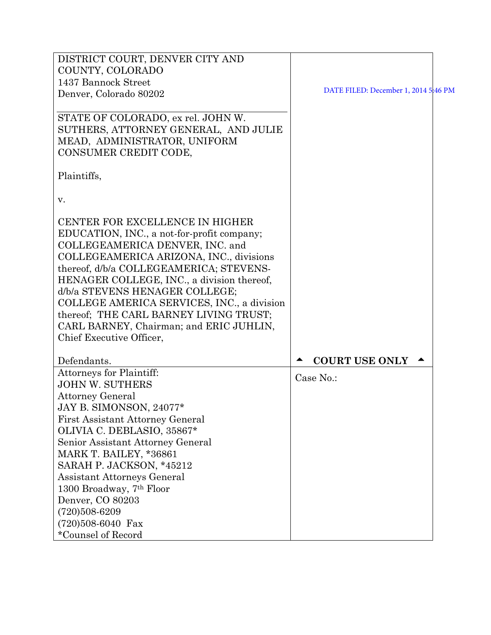| DISTRICT COURT, DENVER CITY AND<br>COUNTY, COLORADO<br>1437 Bannock Street<br>Denver, Colorado 80202<br>STATE OF COLORADO, ex rel. JOHN W.<br>SUTHERS, ATTORNEY GENERAL, AND JULIE<br>MEAD, ADMINISTRATOR, UNIFORM<br>CONSUMER CREDIT CODE,                                                                                                                                                                                                           | DATE FILED: December 1, 2014 5:46 PM |
|-------------------------------------------------------------------------------------------------------------------------------------------------------------------------------------------------------------------------------------------------------------------------------------------------------------------------------------------------------------------------------------------------------------------------------------------------------|--------------------------------------|
| Plaintiffs,                                                                                                                                                                                                                                                                                                                                                                                                                                           |                                      |
| V.                                                                                                                                                                                                                                                                                                                                                                                                                                                    |                                      |
| CENTER FOR EXCELLENCE IN HIGHER<br>EDUCATION, INC., a not-for-profit company;<br>COLLEGEAMERICA DENVER, INC. and<br>COLLEGEAMERICA ARIZONA, INC., divisions<br>thereof, d/b/a COLLEGEAMERICA; STEVENS-<br>HENAGER COLLEGE, INC., a division thereof,<br>d/b/a STEVENS HENAGER COLLEGE;<br>COLLEGE AMERICA SERVICES, INC., a division<br>thereof; THE CARL BARNEY LIVING TRUST;<br>CARL BARNEY, Chairman; and ERIC JUHLIN,<br>Chief Executive Officer, |                                      |
| Defendants.                                                                                                                                                                                                                                                                                                                                                                                                                                           | <b>COURT USE ONLY</b>                |
| <b>Attorneys for Plaintiff:</b><br><b>JOHN W. SUTHERS</b><br><b>Attorney General</b><br>JAY B. SIMONSON, 24077*<br><b>First Assistant Attorney General</b><br>OLIVIA C. DEBLASIO, 35867*<br>Senior Assistant Attorney General<br>MARK T. BAILEY, *36861<br>SARAH P. JACKSON, *45212<br><b>Assistant Attorneys General</b><br>1300 Broadway, 7th Floor<br>Denver, CO 80203<br>$(720)508 - 6209$<br>$(720)508-6040$ Fax<br>*Counsel of Record           | Case No.:                            |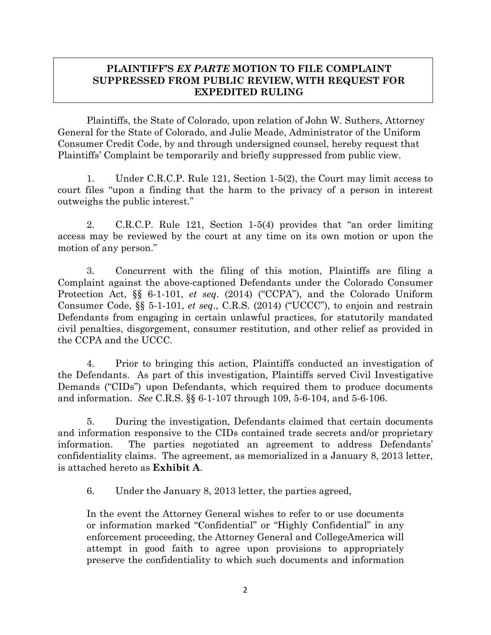## **PLAINTIFF'S** *EX PARTE* **MOTION TO FILE COMPLAINT SUPPRESSED FROM PUBLIC REVIEW, WITH REQUEST FOR EXPEDITED RULING**

 Plaintiffs, the State of Colorado, upon relation of John W. Suthers, Attorney General for the State of Colorado, and Julie Meade, Administrator of the Uniform Consumer Credit Code, by and through undersigned counsel, hereby request that Plaintiffs' Complaint be temporarily and briefly suppressed from public view.

1. Under C.R.C.P. Rule 121, Section 1-5(2), the Court may limit access to court files "upon a finding that the harm to the privacy of a person in interest outweighs the public interest."

2. C.R.C.P. Rule 121, Section 1-5(4) provides that "an order limiting access may be reviewed by the court at any time on its own motion or upon the motion of any person."

3. Concurrent with the filing of this motion, Plaintiffs are filing a Complaint against the above-captioned Defendants under the Colorado Consumer Protection Act, §§ 6-1-101, *et seq*. (2014) ("CCPA"), and the Colorado Uniform Consumer Code, §§ 5-1-101, *et seq*., C.R.S. (2014) ("UCCC"), to enjoin and restrain Defendants from engaging in certain unlawful practices, for statutorily mandated civil penalties, disgorgement, consumer restitution, and other relief as provided in the CCPA and the UCCC.

4. Prior to bringing this action, Plaintiffs conducted an investigation of the Defendants. As part of this investigation, Plaintiffs served Civil Investigative Demands ("CIDs") upon Defendants, which required them to produce documents and information. *See* C.R.S. §§ 6-1-107 through 109, 5-6-104, and 5-6-106.

5. During the investigation, Defendants claimed that certain documents and information responsive to the CIDs contained trade secrets and/or proprietary information. The parties negotiated an agreement to address Defendants' confidentiality claims. The agreement, as memorialized in a January 8, 2013 letter, is attached hereto as **Exhibit A**.

6. Under the January 8, 2013 letter, the parties agreed,

In the event the Attorney General wishes to refer to or use documents or information marked "Confidential" or "Highly Confidential" in any enforcement proceeding, the Attorney General and CollegeAmerica will attempt in good faith to agree upon provisions to appropriately preserve the confidentiality to which such documents and information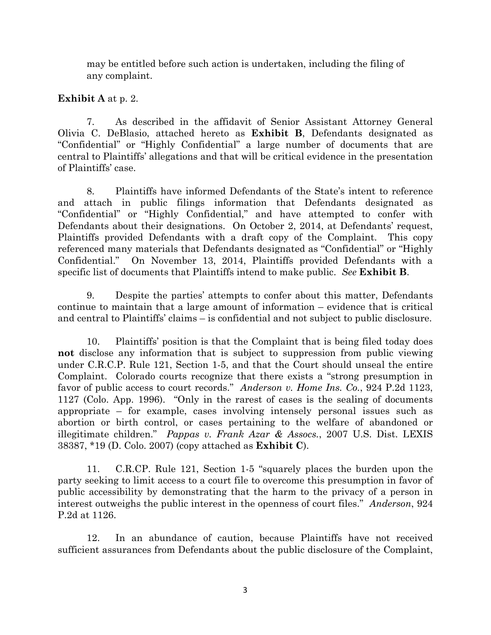may be entitled before such action is undertaken, including the filing of any complaint.

## **Exhibit A** at p. 2.

7. As described in the affidavit of Senior Assistant Attorney General Olivia C. DeBlasio, attached hereto as **Exhibit B**, Defendants designated as "Confidential" or "Highly Confidential" a large number of documents that are central to Plaintiffs' allegations and that will be critical evidence in the presentation of Plaintiffs' case.

8. Plaintiffs have informed Defendants of the State's intent to reference and attach in public filings information that Defendants designated as "Confidential" or "Highly Confidential," and have attempted to confer with Defendants about their designations. On October 2, 2014, at Defendants' request, Plaintiffs provided Defendants with a draft copy of the Complaint. This copy referenced many materials that Defendants designated as "Confidential" or "Highly Confidential." On November 13, 2014, Plaintiffs provided Defendants with a specific list of documents that Plaintiffs intend to make public. *See* **Exhibit B**.

9. Despite the parties' attempts to confer about this matter, Defendants continue to maintain that a large amount of information – evidence that is critical and central to Plaintiffs' claims – is confidential and not subject to public disclosure.

10. Plaintiffs' position is that the Complaint that is being filed today does **not** disclose any information that is subject to suppression from public viewing under C.R.C.P. Rule 121, Section 1-5, and that the Court should unseal the entire Complaint. Colorado courts recognize that there exists a "strong presumption in favor of public access to court records." *Anderson v. Home Ins. Co.*, 924 P.2d 1123, 1127 (Colo. App. 1996). "Only in the rarest of cases is the sealing of documents appropriate – for example, cases involving intensely personal issues such as abortion or birth control, or cases pertaining to the welfare of abandoned or illegitimate children." *Pappas v. Frank Azar & Assocs.*, 2007 U.S. Dist. LEXIS 38387, \*19 (D. Colo. 2007) (copy attached as **Exhibit C**).

11. C.R.CP. Rule 121, Section 1-5 "squarely places the burden upon the party seeking to limit access to a court file to overcome this presumption in favor of public accessibility by demonstrating that the harm to the privacy of a person in interest outweighs the public interest in the openness of court files." *Anderson*, 924 P.2d at 1126.

12. In an abundance of caution, because Plaintiffs have not received sufficient assurances from Defendants about the public disclosure of the Complaint,